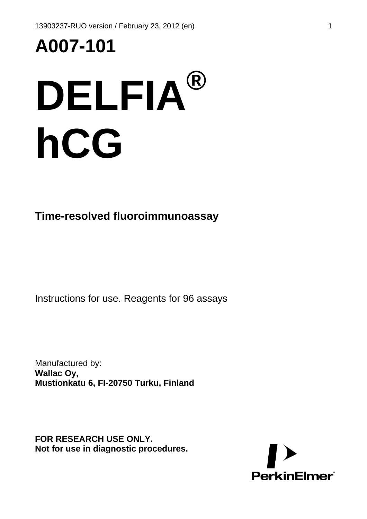# **A007-101**

## **DELFIA® hCG**

**Time-resolved fluoroimmunoassay** 

Instructions for use. Reagents for 96 assays

Manufactured by: **Wallac Oy, Mustionkatu 6, FI-20750 Turku, Finland**

**FOR RESEARCH USE ONLY. Not for use in diagnostic procedures.** 

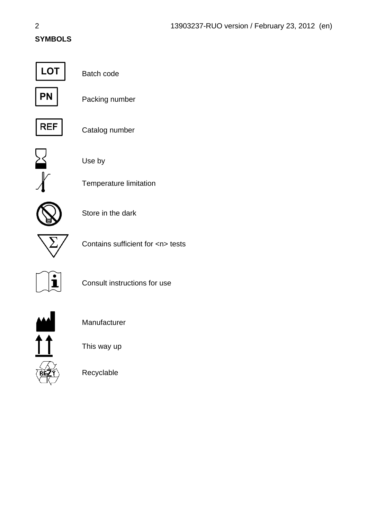#### **SYMBOLS**



Batch code



Packing number



Catalog number



Use by

Store in the dark

Temperature limitation



Contains sufficient for <n> tests



Consult instructions for use



Manufacturer

This way up

Recyclable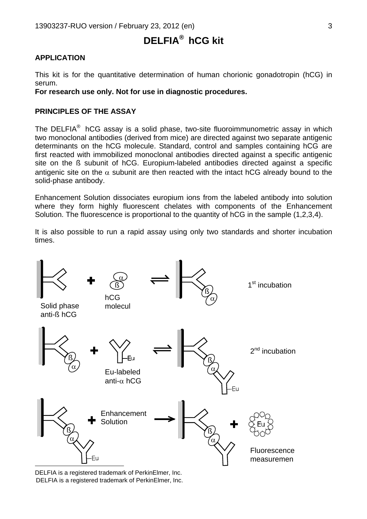### **DELFIA®**  **hCG kit**

#### **APPLICATION**

This kit is for the quantitative determination of human chorionic gonadotropin (hCG) in serum.

**For research use only. Not for use in diagnostic procedures.** 

#### **PRINCIPLES OF THE ASSAY**

The DELFIA<sup>®</sup> hCG assay is a solid phase, two-site fluoroimmunometric assay in which two monoclonal antibodies (derived from mice) are directed against two separate antigenic determinants on the hCG molecule. Standard, control and samples containing hCG are first reacted with immobilized monoclonal antibodies directed against a specific antigenic site on the ß subunit of hCG. Europium-labeled antibodies directed against a specific antigenic site on the  $\alpha$  subunit are then reacted with the intact hCG already bound to the solid-phase antibody.

Enhancement Solution dissociates europium ions from the labeled antibody into solution where they form highly fluorescent chelates with components of the Enhancement Solution. The fluorescence is proportional to the quantity of hCG in the sample (1,2,3,4).

It is also possible to run a rapid assay using only two standards and shorter incubation times.



<span id="page-2-1"></span><span id="page-2-0"></span>DELFIA is a registered trademark of PerkinElmer, Inc. DELFIA is a registered trademark of PerkinElmer, Inc.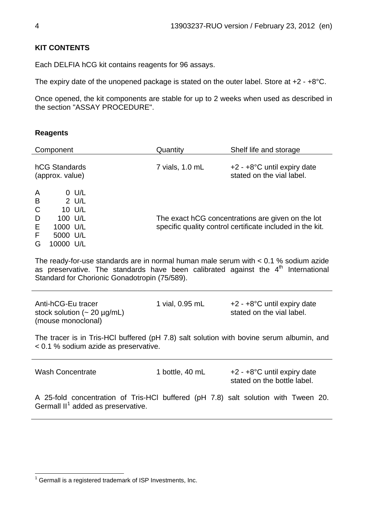#### **KIT CONTENTS**

Each DELFIA hCG kit contains reagents for 96 assays.

The expiry date of the unopened package is stated on the outer label. Store at +2 - +8°C.

Once opened, the kit components are stable for up to 2 weeks when used as described in the section "ASSAY PROCEDURE".

#### **Reagents**

| Component                                                                                                                                                                                                                                | Quantity        | Shelf life and storage                                                                                         |  |  |
|------------------------------------------------------------------------------------------------------------------------------------------------------------------------------------------------------------------------------------------|-----------------|----------------------------------------------------------------------------------------------------------------|--|--|
| hCG Standards<br>(approx. value)                                                                                                                                                                                                         | 7 vials, 1.0 mL | +2 - +8°C until expiry date<br>stated on the vial label.                                                       |  |  |
| $0$ U/L<br>A<br>$2$ U/L<br>B<br>$\mathsf C$<br>10 U/L<br>100 U/L<br>D<br>Ε<br>1000 U/L<br>F<br>5000 U/L<br>10000 U/L<br>G                                                                                                                |                 | The exact hCG concentrations are given on the lot<br>specific quality control certificate included in the kit. |  |  |
| The ready-for-use standards are in normal human male serum with $< 0.1$ % sodium azide<br>as preservative. The standards have been calibrated against the 4 <sup>th</sup> International<br>Standard for Chorionic Gonadotropin (75/589). |                 |                                                                                                                |  |  |
| Anti-hCG-Eu tracer<br>stock solution $($ - 20 $\mu$ g/mL)<br>(mouse monoclonal)                                                                                                                                                          | 1 vial, 0.95 mL | $+2 - +8$ °C until expiry date<br>stated on the vial label.                                                    |  |  |
| The tracer is in Tris-HCI buffered (pH 7.8) salt solution with bovine serum albumin, and<br>< 0.1 % sodium azide as preservative.                                                                                                        |                 |                                                                                                                |  |  |
| <b>Wash Concentrate</b>                                                                                                                                                                                                                  | 1 bottle, 40 mL | +2 - +8°C until expiry date<br>stated on the bottle label.                                                     |  |  |
| A 25-fold concentration of Tris-HCl buffered (pH 7.8) salt solution with Tween 20.<br>Germall II <sup>1</sup> added as preservative.                                                                                                     |                 |                                                                                                                |  |  |

<span id="page-3-0"></span><sup>————————————————————&</sup>lt;br><sup>1</sup> Germall is a registered trademark of ISP Investments, Inc.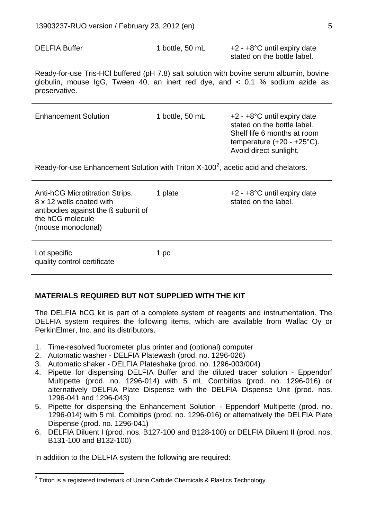DELFIA Buffer 1 bottle, 50 mL +2 - +8°C until expiry date stated on the bottle label.

Ready-for-use Tris-HCl buffered (pH 7.8) salt solution with bovine serum albumin, bovine globulin, mouse IgG, Tween 40, an inert red dye, and < 0.1 % sodium azide as preservative.

| <b>Enhancement Solution</b>                                                                                                                  | 1 bottle, 50 mL | $+2 - +8$ °C until expiry date<br>stated on the bottle label.<br>Shelf life 6 months at room<br>temperature $(+20 - +25^{\circ}C)$ .<br>Avoid direct sunlight. |  |  |  |
|----------------------------------------------------------------------------------------------------------------------------------------------|-----------------|----------------------------------------------------------------------------------------------------------------------------------------------------------------|--|--|--|
| Ready-for-use Enhancement Solution with Triton $X-100^2$ , acetic acid and chelators.                                                        |                 |                                                                                                                                                                |  |  |  |
| Anti-hCG Microtitration Strips.<br>8 x 12 wells coated with<br>antibodies against the ß subunit of<br>the hCG molecule<br>(mouse monoclonal) | 1 plate         | $+2 - +8$ °C until expiry date<br>stated on the label.                                                                                                         |  |  |  |
| Lot specific<br>quality control certificate                                                                                                  | 1 pc            |                                                                                                                                                                |  |  |  |

#### **MATERIALS REQUIRED BUT NOT SUPPLIED WITH THE KIT**

The DELFIA hCG kit is part of a complete system of reagents and instrumentation. The DELFIA system requires the following items, which are available from Wallac Oy or PerkinElmer, Inc. and its distributors.

- 1. Time-resolved fluorometer plus printer and (optional) computer
- 2. Automatic washer DELFIA Platewash (prod. no. 1296-026)
- 3. Automatic shaker DELFIA Plateshake (prod. no. 1296-003/004)
- 4. Pipette for dispensing DELFIA Buffer and the diluted tracer solution Eppendorf Multipette (prod. no. 1296-014) with 5 mL Combitips (prod. no. 1296-016) or alternatively DELFIA Plate Dispense with the DELFIA Dispense Unit (prod. nos. 1296-041 and 1296-043)
- 5. Pipette for dispensing the Enhancement Solution Eppendorf Multipette (prod. no. 1296-014) with 5 mL Combitips (prod. no. 1296-016) or alternatively the DELFIA Plate Dispense (prod. no. 1296-041)
- 6. DELFIA Diluent I (prod. nos. B127-100 and B128-100) or DELFIA Diluent II (prod. nos. B131-100 and B132-100)

In addition to the DELFIA system the following are required:

<span id="page-4-0"></span>l  $2$  Triton is a registered trademark of Union Carbide Chemicals & Plastics Technology.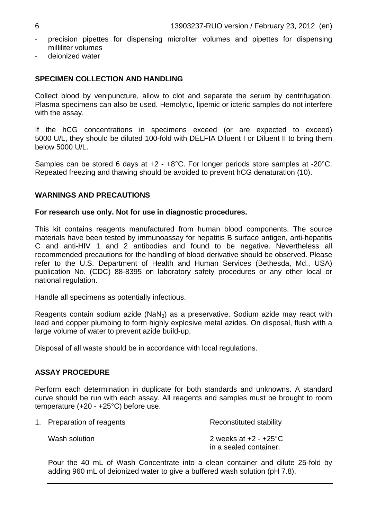- precision pipettes for dispensing microliter volumes and pipettes for dispensing milliliter volumes
- deionized water

#### **SPECIMEN COLLECTION AND HANDLING**

Collect blood by venipuncture, allow to clot and separate the serum by centrifugation. Plasma specimens can also be used. Hemolytic, lipemic or icteric samples do not interfere with the assay.

If the hCG concentrations in specimens exceed (or are expected to exceed) 5000 U/L, they should be diluted 100-fold with DELFIA Diluent I or Diluent II to bring them below 5000 U/L.

Samples can be stored 6 days at +2 - +8°C. For longer periods store samples at -20°C. Repeated freezing and thawing should be avoided to prevent hCG denaturation (10).

#### **WARNINGS AND PRECAUTIONS**

#### **For research use only. Not for use in diagnostic procedures.**

This kit contains reagents manufactured from human blood components. The source materials have been tested by immunoassay for hepatitis B surface antigen, anti-hepatitis C and anti-HIV 1 and 2 antibodies and found to be negative. Nevertheless all recommended precautions for the handling of blood derivative should be observed. Please refer to the U.S. Department of Health and Human Services (Bethesda, Md., USA) publication No. (CDC) 88-8395 on laboratory safety procedures or any other local or national regulation.

Handle all specimens as potentially infectious.

Reagents contain sodium azide (NaN<sub>3</sub>) as a preservative. Sodium azide may react with lead and copper plumbing to form highly explosive metal azides. On disposal, flush with a large volume of water to prevent azide build-up.

Disposal of all waste should be in accordance with local regulations.

#### **ASSAY PROCEDURE**

Perform each determination in duplicate for both standards and unknowns. A standard curve should be run with each assay. All reagents and samples must be brought to room temperature (+20 - +25°C) before use.

| 1. Preparation of reagents | Reconstituted stability                                     |  |  |  |
|----------------------------|-------------------------------------------------------------|--|--|--|
| Wash solution              | 2 weeks at $+2$ - $+25^{\circ}$ C<br>in a sealed container. |  |  |  |

Pour the 40 mL of Wash Concentrate into a clean container and dilute 25-fold by adding 960 mL of deionized water to give a buffered wash solution (pH 7.8).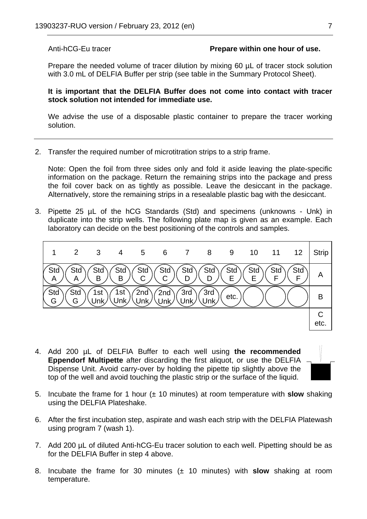#### Anti-hCG-Eu tracer **Prepare within one hour of use.**

Prepare the needed volume of tracer dilution by mixing 60  $\mu$ L of tracer stock solution with 3.0 mL of DELFIA Buffer per strip (see table in the Summary Protocol Sheet).

**It is important that the DELFIA Buffer does not come into contact with tracer stock solution not intended for immediate use.** 

We advise the use of a disposable plastic container to prepare the tracer working solution.

2. Transfer the required number of microtitration strips to a strip frame.

Note: Open the foil from three sides only and fold it aside leaving the plate-specific information on the package. Return the remaining strips into the package and press the foil cover back on as tightly as possible. Leave the desiccant in the package. Alternatively, store the remaining strips in a resealable plastic bag with the desiccant.

3. Pipette 25 µL of the hCG Standards (Std) and specimens (unknowns - Unk) in duplicate into the strip wells. The following plate map is given as an example. Each laboratory can decide on the best positioning of the controls and samples.



4. Add 200 µL of DELFIA Buffer to each well using **the recommended Eppendorf Multipette** after discarding the first aliquot, or use the DELFIA Dispense Unit. Avoid carry-over by holding the pipette tip slightly above the top of the well and avoid touching the plastic strip or the surface of the liquid.



- 5. Incubate the frame for 1 hour (± 10 minutes) at room temperature with **slow** shaking using the DELFIA Plateshake.
- 6. After the first incubation step, aspirate and wash each strip with the DELFIA Platewash using program 7 (wash 1).
- 7. Add 200 µL of diluted Anti-hCG-Eu tracer solution to each well. Pipetting should be as for the DELFIA Buffer in step 4 above.
- 8. Incubate the frame for 30 minutes (± 10 minutes) with **slow** shaking at room temperature.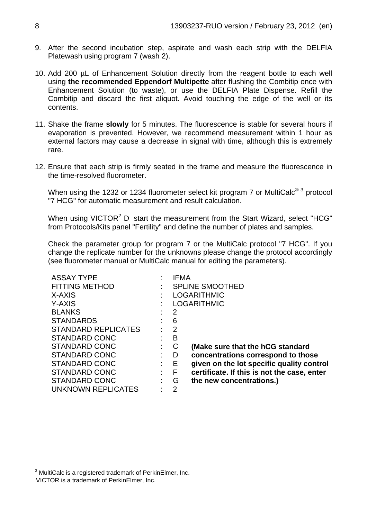- 9. After the second incubation step, aspirate and wash each strip with the DELFIA Platewash using program 7 (wash 2).
- 10. Add 200 µL of Enhancement Solution directly from the reagent bottle to each well using **the recommended Eppendorf Multipette** after flushing the Combitip once with Enhancement Solution (to waste), or use the DELFIA Plate Dispense. Refill the Combitip and discard the first aliquot. Avoid touching the edge of the well or its contents.
- 11. Shake the frame **slowly** for 5 minutes. The fluorescence is stable for several hours if evaporation is prevented. However, we recommend measurement within 1 hour as external factors may cause a decrease in signal with time, although this is extremely rare.
- 12. Ensure that each strip is firmly seated in the frame and measure the fluorescence in the time-resolved fluorometer.

When using the 12[3](#page-7-0)2 or 1234 fluorometer select kit program 7 or MultiCalc $^{\circledR}$ <sup>3</sup> protocol "7 HCG" for automatic measurement and result calculation.

When using VICTOR<sup>2</sup> D start the measurement from the Start Wizard, select "HCG" from Protocols/Kits panel "Fertility" and define the number of plates and samples.

Check the parameter group for program 7 or the MultiCalc protocol "7 HCG". If you change the replicate number for the unknowns please change the protocol accordingly (see fluorometer manual or MultiCalc manual for editing the parameters).

| <b>ASSAY TYPE</b>          |   | IFMA               |                                             |  |
|----------------------------|---|--------------------|---------------------------------------------|--|
| <b>FITTING METHOD</b>      |   |                    | <b>SPLINE SMOOTHED</b>                      |  |
| X-AXIS                     |   | <b>LOGARITHMIC</b> |                                             |  |
| Y-AXIS                     |   |                    | <b>LOGARITHMIC</b>                          |  |
| <b>BLANKS</b>              |   | 2                  |                                             |  |
| <b>STANDARDS</b>           |   | 6                  |                                             |  |
| <b>STANDARD REPLICATES</b> | ٠ | 2                  |                                             |  |
| STANDARD CONC              |   | в                  |                                             |  |
| STANDARD CONC              | ÷ | C                  | (Make sure that the hCG standard            |  |
| STANDARD CONC              | ÷ | D                  | concentrations correspond to those          |  |
| STANDARD CONC              | ÷ | Е                  | given on the lot specific quality control   |  |
| STANDARD CONC              |   | F                  | certificate. If this is not the case, enter |  |
| <b>STANDARD CONC</b>       |   | G                  | the new concentrations.)                    |  |
| UNKNOWN REPLICATES         |   | 2                  |                                             |  |

<span id="page-7-1"></span><span id="page-7-0"></span> 3 MultiCalc is a registered trademark of PerkinElmer, Inc. VICTOR is a trademark of PerkinElmer, Inc.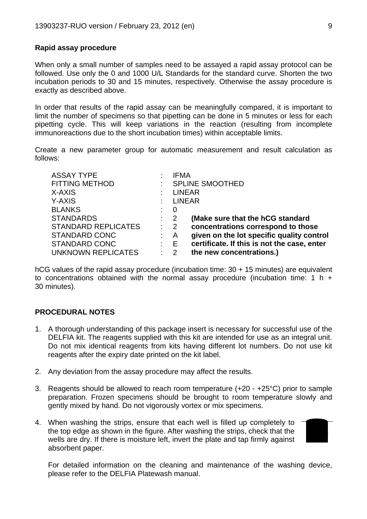#### **Rapid assay procedure**

When only a small number of samples need to be assayed a rapid assay protocol can be followed. Use only the 0 and 1000 U/L Standards for the standard curve. Shorten the two incubation periods to 30 and 15 minutes, respectively. Otherwise the assay procedure is exactly as described above.

In order that results of the rapid assay can be meaningfully compared, it is important to limit the number of specimens so that pipetting can be done in 5 minutes or less for each pipetting cycle. This will keep variations in the reaction (resulting from incomplete immunoreactions due to the short incubation times) within acceptable limits.

Create a new parameter group for automatic measurement and result calculation as follows:

| <b>ASSAY TYPE</b>          |                           | IFMA                                                                     |  |  |
|----------------------------|---------------------------|--------------------------------------------------------------------------|--|--|
| <b>FITTING METHOD</b>      |                           | <b>SPLINE SMOOTHED</b>                                                   |  |  |
| X-AXIS                     |                           | <b>LINEAR</b>                                                            |  |  |
| Y-AXIS                     |                           | <b>LINEAR</b>                                                            |  |  |
| <b>BLANKS</b>              |                           | 0                                                                        |  |  |
| <b>STANDARDS</b>           | $\therefore$ 2            | (Make sure that the hCG standard                                         |  |  |
| <b>STANDARD REPLICATES</b> |                           | concentrations correspond to those<br>$\therefore$ 2                     |  |  |
| <b>STANDARD CONC</b>       | $\mathcal{L}$             | given on the lot specific quality control<br>- A                         |  |  |
| <b>STANDARD CONC</b>       |                           | certificate. If this is not the case, enter<br>$\mathbf{E} = \mathbf{E}$ |  |  |
| UNKNOWN REPLICATES         | $\mathbb{R}^{\mathbb{Z}}$ | the new concentrations.)<br>2                                            |  |  |

hCG values of the rapid assay procedure (incubation time: 30 + 15 minutes) are equivalent to concentrations obtained with the normal assay procedure (incubation time:  $1 h +$ 30 minutes).

#### **PROCEDURAL NOTES**

- 1. A thorough understanding of this package insert is necessary for successful use of the DELFIA kit. The reagents supplied with this kit are intended for use as an integral unit. Do not mix identical reagents from kits having different lot numbers. Do not use kit reagents after the expiry date printed on the kit label.
- 2. Any deviation from the assay procedure may affect the results.
- 3. Reagents should be allowed to reach room temperature (+20 +25°C) prior to sample preparation. Frozen specimens should be brought to room temperature slowly and gently mixed by hand. Do not vigorously vortex or mix specimens.
- 4. When washing the strips, ensure that each well is filled up completely to the top edge as shown in the figure. After washing the strips, check that the wells are dry. If there is moisture left, invert the plate and tap firmly against absorbent paper.



For detailed information on the cleaning and maintenance of the washing device, please refer to the DELFIA Platewash manual.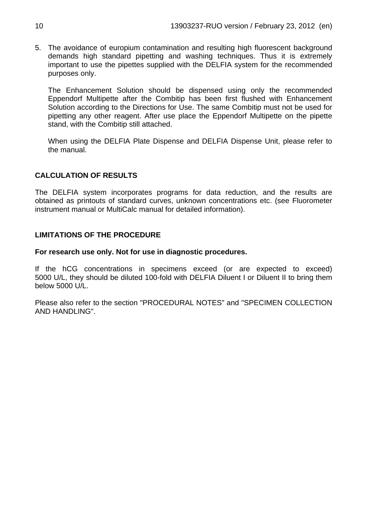5. The avoidance of europium contamination and resulting high fluorescent background demands high standard pipetting and washing techniques. Thus it is extremely important to use the pipettes supplied with the DELFIA system for the recommended purposes only.

The Enhancement Solution should be dispensed using only the recommended Eppendorf Multipette after the Combitip has been first flushed with Enhancement Solution according to the Directions for Use. The same Combitip must not be used for pipetting any other reagent. After use place the Eppendorf Multipette on the pipette stand, with the Combitip still attached.

When using the DELFIA Plate Dispense and DELFIA Dispense Unit, please refer to the manual.

#### **CALCULATION OF RESULTS**

The DELFIA system incorporates programs for data reduction, and the results are obtained as printouts of standard curves, unknown concentrations etc. (see Fluorometer instrument manual or MultiCalc manual for detailed information).

#### **LIMITATIONS OF THE PROCEDURE**

#### **For research use only. Not for use in diagnostic procedures.**

If the hCG concentrations in specimens exceed (or are expected to exceed) 5000 U/L, they should be diluted 100-fold with DELFIA Diluent I or Diluent II to bring them below 5000 U/L.

Please also refer to the section "PROCEDURAL NOTES" and "SPECIMEN COLLECTION AND HANDLING".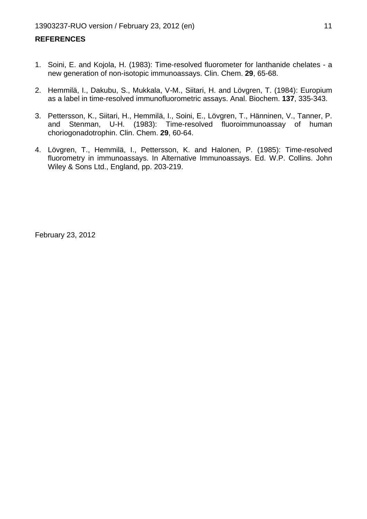#### **REFERENCES**

- 1. Soini, E. and Kojola, H. (1983): Time-resolved fluorometer for lanthanide chelates a new generation of non-isotopic immunoassays. Clin. Chem. **29**, 65-68.
- 2. Hemmilä, I., Dakubu, S., Mukkala, V-M., Siitari, H. and Lövgren, T. (1984): Europium as a label in time-resolved immunofluorometric assays. Anal. Biochem. **137**, 335-343.
- 3. Pettersson, K., Siitari, H., Hemmilä, I., Soini, E., Lövgren, T., Hänninen, V., Tanner, P. and Stenman, U-H. (1983): Time-resolved fluoroimmunoassay of human choriogonadotrophin. Clin. Chem. **29**, 60-64.
- 4. Lövgren, T., Hemmilä, I., Pettersson, K. and Halonen, P. (1985): Time-resolved fluorometry in immunoassays. In Alternative Immunoassays. Ed. W.P. Collins. John Wiley & Sons Ltd., England, pp. 203-219.

February 23, 2012